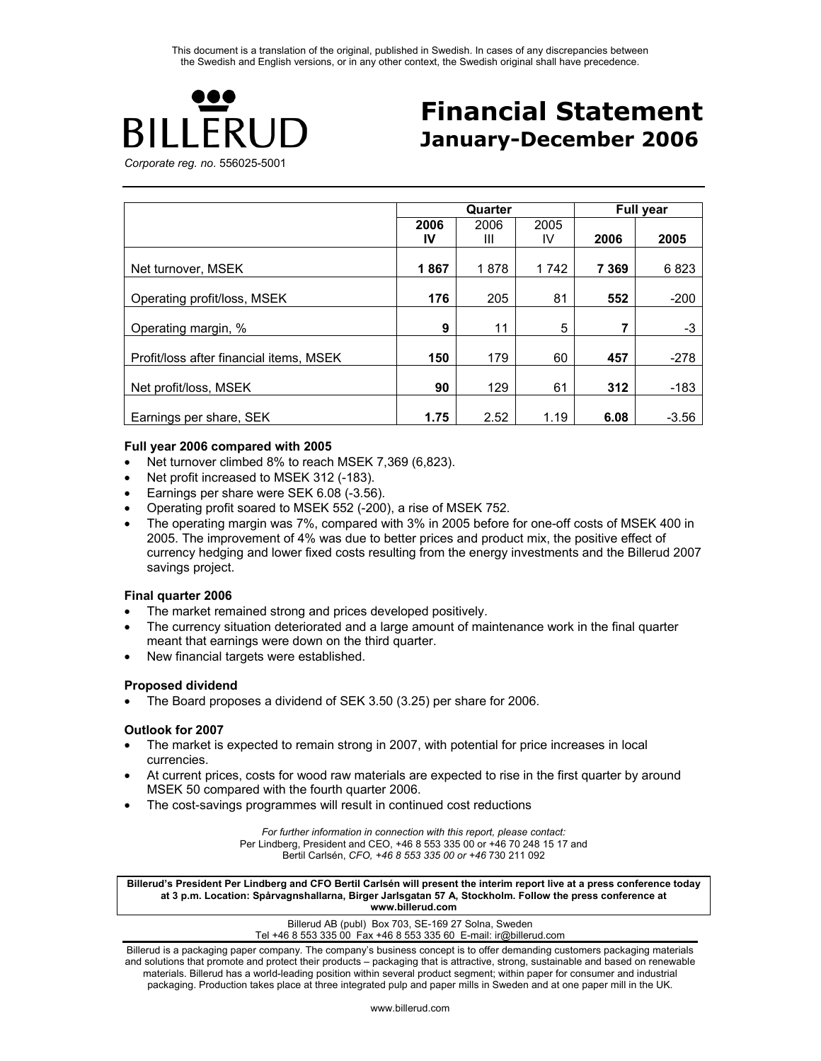

# **Financial Statement January-December 2006**

*Corporate reg. no.* 556025-5001

|                                         |      | Quarter |      |         | <b>Full year</b> |
|-----------------------------------------|------|---------|------|---------|------------------|
|                                         | 2006 | 2006    | 2005 |         |                  |
|                                         | IV   | Ш       | IV.  | 2006    | 2005             |
| Net turnover, MSEK                      | 1867 | 1878    | 1742 | 7 3 6 9 | 6823             |
| Operating profit/loss, MSEK             | 176  | 205     | 81   | 552     | $-200$           |
| Operating margin, %                     | 9    | 11      | 5    | 7       | $-3$             |
| Profit/loss after financial items, MSEK | 150  | 179     | 60   | 457     | $-278$           |
| Net profit/loss, MSEK                   | 90   | 129     | 61   | 312     | $-183$           |
| Earnings per share, SEK                 | 1.75 | 2.52    | 1.19 | 6.08    | $-3.56$          |

#### **Full year 2006 compared with 2005**

- Net turnover climbed 8% to reach MSEK 7,369 (6,823).
- Net profit increased to MSEK 312 (-183).
- Earnings per share were SEK 6.08 (-3.56).
- Operating profit soared to MSEK 552 (-200), a rise of MSEK 752.
- The operating margin was 7%, compared with 3% in 2005 before for one-off costs of MSEK 400 in 2005. The improvement of 4% was due to better prices and product mix, the positive effect of currency hedging and lower fixed costs resulting from the energy investments and the Billerud 2007 savings project.

#### **Final quarter 2006**

- The market remained strong and prices developed positively.
- The currency situation deteriorated and a large amount of maintenance work in the final quarter meant that earnings were down on the third quarter.
- New financial targets were established.

#### **Proposed dividend**

• The Board proposes a dividend of SEK 3.50 (3.25) per share for 2006.

#### **Outlook for 2007**

- The market is expected to remain strong in 2007, with potential for price increases in local currencies.
- At current prices, costs for wood raw materials are expected to rise in the first quarter by around MSEK 50 compared with the fourth quarter 2006.
- The cost-savings programmes will result in continued cost reductions

*For further information in connection with this report, please contact:*  Per Lindberg, President and CEO, +46 8 553 335 00 or +46 70 248 15 17 and Bertil Carlsén, *CFO, +46 8 553 335 00 or +46* 730 211 092

**Billerud's President Per Lindberg and CFO Bertil Carlsén will present the interim report live at a press conference today at 3 p.m. Location: Spårvagnshallarna, Birger Jarlsgatan 57 A, Stockholm. Follow the press conference at www.billerud.com** 

> Billerud AB (publ) Box 703, SE-169 27 Solna, Sweden Tel +46 8 553 335 00 Fax +46 8 553 335 60 E-mail: ir@billerud.com

Billerud is a packaging paper company. The company's business concept is to offer demanding customers packaging materials and solutions that promote and protect their products – packaging that is attractive, strong, sustainable and based on renewable materials. Billerud has a world-leading position within several product segment; within paper for consumer and industrial packaging. Production takes place at three integrated pulp and paper mills in Sweden and at one paper mill in the UK.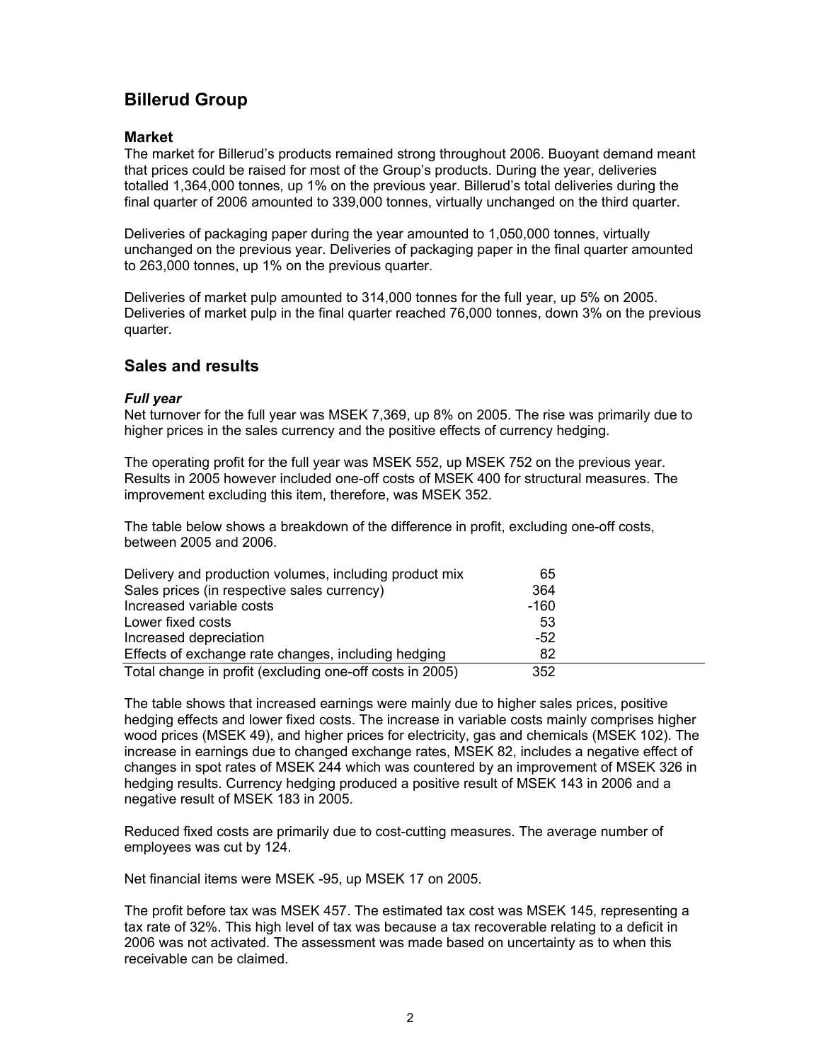## **Billerud Group**

### **Market**

The market for Billerud's products remained strong throughout 2006. Buoyant demand meant that prices could be raised for most of the Group's products. During the year, deliveries totalled 1,364,000 tonnes, up 1% on the previous year. Billerud's total deliveries during the final quarter of 2006 amounted to 339,000 tonnes, virtually unchanged on the third quarter.

Deliveries of packaging paper during the year amounted to 1,050,000 tonnes, virtually unchanged on the previous year. Deliveries of packaging paper in the final quarter amounted to 263,000 tonnes, up 1% on the previous quarter.

Deliveries of market pulp amounted to 314,000 tonnes for the full year, up 5% on 2005. Deliveries of market pulp in the final quarter reached 76,000 tonnes, down 3% on the previous quarter.

### **Sales and results**

#### *Full year*

Net turnover for the full year was MSEK 7,369, up 8% on 2005. The rise was primarily due to higher prices in the sales currency and the positive effects of currency hedging.

The operating profit for the full year was MSEK 552, up MSEK 752 on the previous year. Results in 2005 however included one-off costs of MSEK 400 for structural measures. The improvement excluding this item, therefore, was MSEK 352.

The table below shows a breakdown of the difference in profit, excluding one-off costs, between 2005 and 2006.

| Delivery and production volumes, including product mix   | 65    |  |
|----------------------------------------------------------|-------|--|
| Sales prices (in respective sales currency)              | 364   |  |
| Increased variable costs                                 | -160  |  |
| Lower fixed costs                                        | 53    |  |
| Increased depreciation                                   | $-52$ |  |
| Effects of exchange rate changes, including hedging      | 82    |  |
| Total change in profit (excluding one-off costs in 2005) | 352   |  |

The table shows that increased earnings were mainly due to higher sales prices, positive hedging effects and lower fixed costs. The increase in variable costs mainly comprises higher wood prices (MSEK 49), and higher prices for electricity, gas and chemicals (MSEK 102). The increase in earnings due to changed exchange rates, MSEK 82, includes a negative effect of changes in spot rates of MSEK 244 which was countered by an improvement of MSEK 326 in hedging results. Currency hedging produced a positive result of MSEK 143 in 2006 and a negative result of MSEK 183 in 2005.

Reduced fixed costs are primarily due to cost-cutting measures. The average number of employees was cut by 124.

Net financial items were MSEK -95, up MSEK 17 on 2005.

The profit before tax was MSEK 457. The estimated tax cost was MSEK 145, representing a tax rate of 32%. This high level of tax was because a tax recoverable relating to a deficit in 2006 was not activated. The assessment was made based on uncertainty as to when this receivable can be claimed.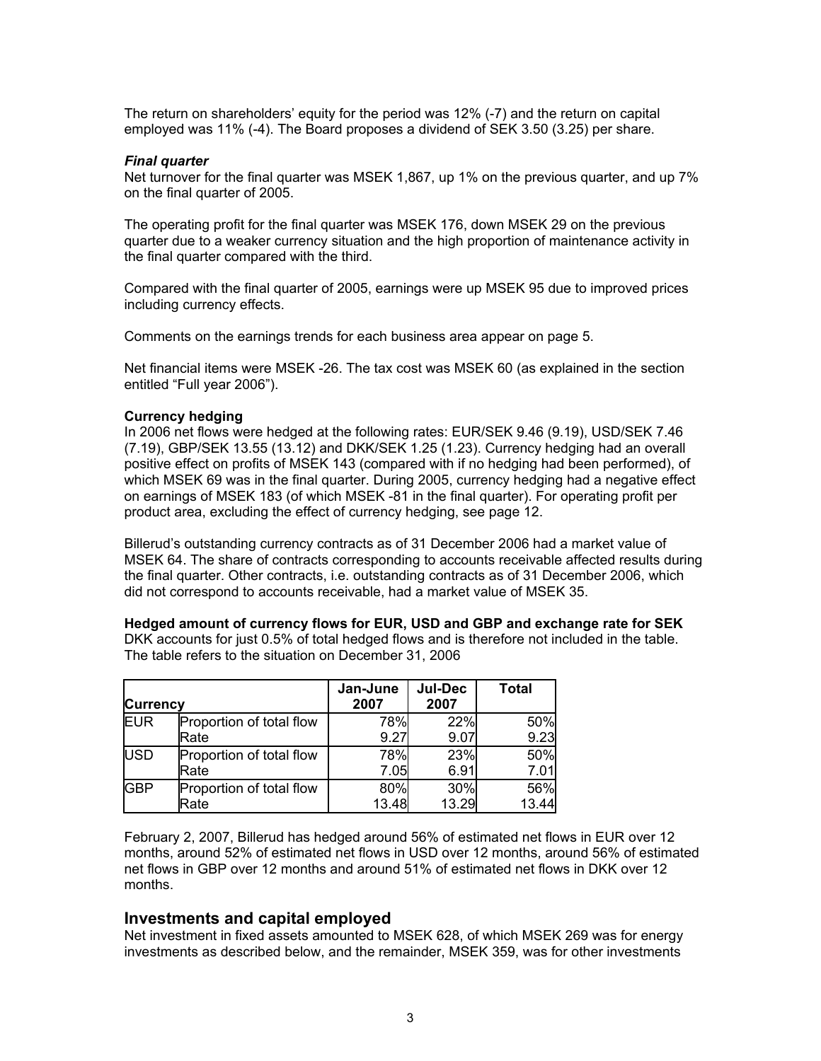The return on shareholders' equity for the period was 12% (-7) and the return on capital employed was 11% (-4). The Board proposes a dividend of SEK 3.50 (3.25) per share.

#### *Final quarter*

Net turnover for the final quarter was MSEK 1,867, up 1% on the previous quarter, and up 7% on the final quarter of 2005.

The operating profit for the final quarter was MSEK 176, down MSEK 29 on the previous quarter due to a weaker currency situation and the high proportion of maintenance activity in the final quarter compared with the third.

Compared with the final quarter of 2005, earnings were up MSEK 95 due to improved prices including currency effects.

Comments on the earnings trends for each business area appear on page 5.

Net financial items were MSEK -26. The tax cost was MSEK 60 (as explained in the section entitled "Full year 2006").

#### **Currency hedging**

In 2006 net flows were hedged at the following rates: EUR/SEK 9.46 (9.19), USD/SEK 7.46 (7.19), GBP/SEK 13.55 (13.12) and DKK/SEK 1.25 (1.23). Currency hedging had an overall positive effect on profits of MSEK 143 (compared with if no hedging had been performed), of which MSEK 69 was in the final quarter. During 2005, currency hedging had a negative effect on earnings of MSEK 183 (of which MSEK -81 in the final quarter). For operating profit per product area, excluding the effect of currency hedging, see page 12.

Billerud's outstanding currency contracts as of 31 December 2006 had a market value of MSEK 64. The share of contracts corresponding to accounts receivable affected results during the final quarter. Other contracts, i.e. outstanding contracts as of 31 December 2006, which did not correspond to accounts receivable, had a market value of MSEK 35.

**Hedged amount of currency flows for EUR, USD and GBP and exchange rate for SEK** 

DKK accounts for just 0.5% of total hedged flows and is therefore not included in the table. The table refers to the situation on December 31, 2006

| <b>Currency</b> |                          | Jan-June<br>2007 | <b>Jul-Dec</b><br>2007 | <b>Total</b> |
|-----------------|--------------------------|------------------|------------------------|--------------|
| <b>EUR</b>      | Proportion of total flow | 78%              | 22%                    | 50%          |
|                 | Rate                     | 9.27             | 9.07                   | 9.23         |
| <b>USD</b>      | Proportion of total flow | 78%              | 23%                    | 50%          |
|                 | Rate                     | 7.05             | 6.91                   | 7.01         |
| <b>GBP</b>      | Proportion of total flow | 80%              | 30%                    | 56%          |
|                 | Rate                     | 13.48            | 13.29                  | 13.44        |

February 2, 2007, Billerud has hedged around 56% of estimated net flows in EUR over 12 months, around 52% of estimated net flows in USD over 12 months, around 56% of estimated net flows in GBP over 12 months and around 51% of estimated net flows in DKK over 12 months.

#### **Investments and capital employed**

Net investment in fixed assets amounted to MSEK 628, of which MSEK 269 was for energy investments as described below, and the remainder, MSEK 359, was for other investments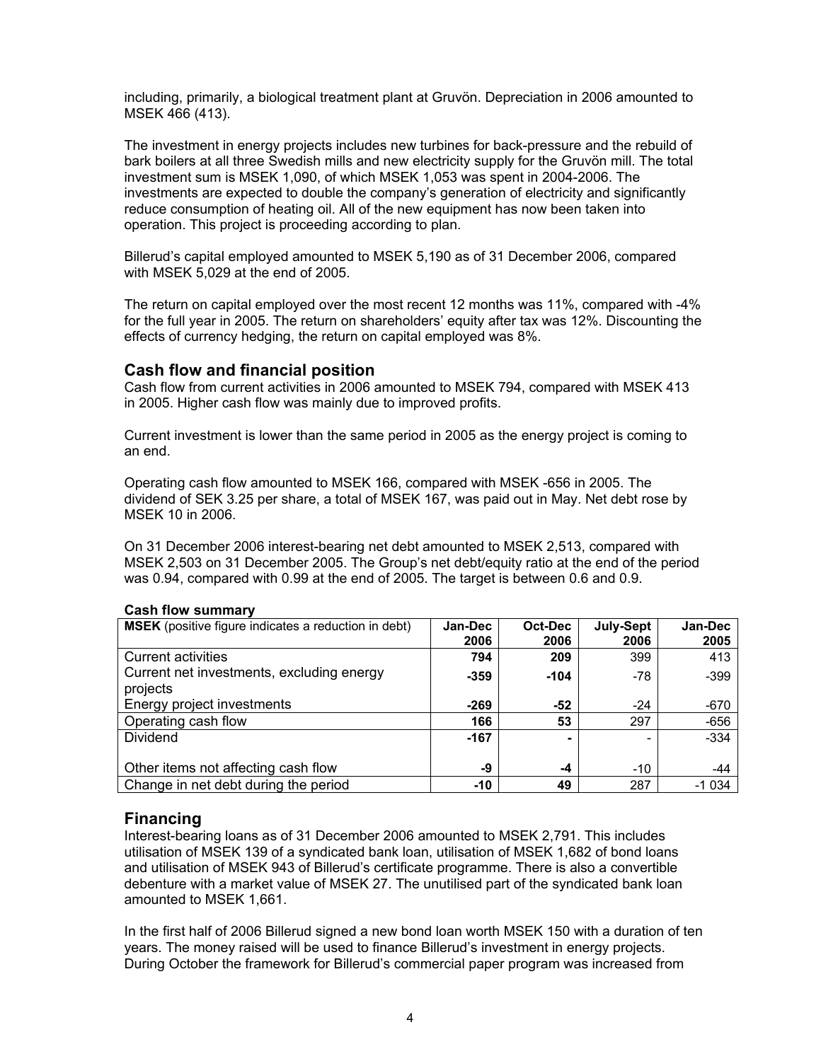including, primarily, a biological treatment plant at Gruvön. Depreciation in 2006 amounted to MSEK 466 (413).

The investment in energy projects includes new turbines for back-pressure and the rebuild of bark boilers at all three Swedish mills and new electricity supply for the Gruvön mill. The total investment sum is MSEK 1,090, of which MSEK 1,053 was spent in 2004-2006. The investments are expected to double the company's generation of electricity and significantly reduce consumption of heating oil. All of the new equipment has now been taken into operation. This project is proceeding according to plan.

Billerud's capital employed amounted to MSEK 5,190 as of 31 December 2006, compared with MSEK 5,029 at the end of 2005.

The return on capital employed over the most recent 12 months was 11%, compared with -4% for the full year in 2005. The return on shareholders' equity after tax was 12%. Discounting the effects of currency hedging, the return on capital employed was 8%.

### **Cash flow and financial position**

Cash flow from current activities in 2006 amounted to MSEK 794, compared with MSEK 413 in 2005. Higher cash flow was mainly due to improved profits.

Current investment is lower than the same period in 2005 as the energy project is coming to an end.

Operating cash flow amounted to MSEK 166, compared with MSEK -656 in 2005. The dividend of SEK 3.25 per share, a total of MSEK 167, was paid out in May. Net debt rose by MSEK 10 in 2006.

On 31 December 2006 interest-bearing net debt amounted to MSEK 2,513, compared with MSEK 2,503 on 31 December 2005. The Group's net debt/equity ratio at the end of the period was 0.94, compared with 0.99 at the end of 2005. The target is between 0.6 and 0.9.

| <b>MSEK</b> (positive figure indicates a reduction in debt) | Jan-Dec<br>2006 | Oct-Dec<br>2006 | July-Sept<br>2006 | Jan-Dec<br>2005 |
|-------------------------------------------------------------|-----------------|-----------------|-------------------|-----------------|
| <b>Current activities</b>                                   | 794             | 209             | 399               | 413             |
| Current net investments, excluding energy<br>projects       | $-359$          | $-104$          | $-78$             | $-399$          |
| Energy project investments                                  | $-269$          | $-52$           | $-24$             | -670            |
| Operating cash flow                                         | 166             | 53              | 297               | $-656$          |
| Dividend                                                    | $-167$          | ۰               |                   | $-334$          |
| Other items not affecting cash flow                         | -9              | -4              | $-10$             | -44             |
| Change in net debt during the period                        | -10             | 49              | 287               | $-1034$         |

#### **Cash flow summary**

#### **Financing**

Interest-bearing loans as of 31 December 2006 amounted to MSEK 2,791. This includes utilisation of MSEK 139 of a syndicated bank loan, utilisation of MSEK 1,682 of bond loans and utilisation of MSEK 943 of Billerud's certificate programme. There is also a convertible debenture with a market value of MSEK 27. The unutilised part of the syndicated bank loan amounted to MSEK 1,661.

In the first half of 2006 Billerud signed a new bond loan worth MSEK 150 with a duration of ten years. The money raised will be used to finance Billerud's investment in energy projects. During October the framework for Billerud's commercial paper program was increased from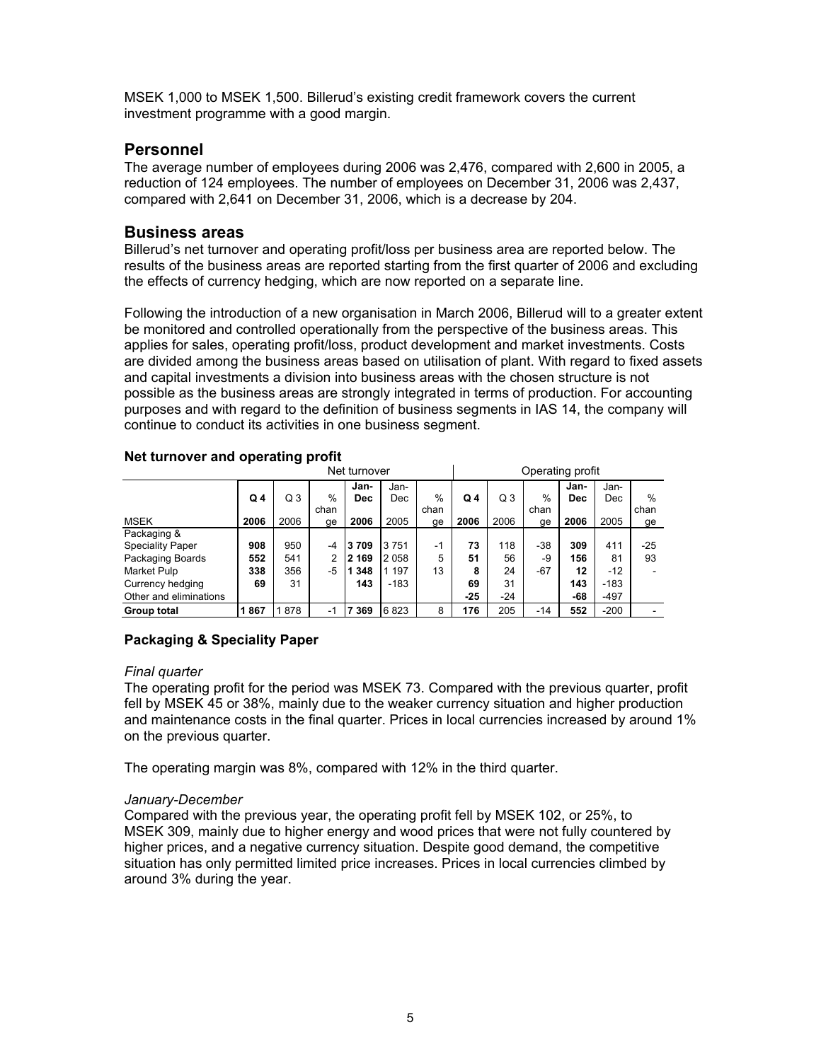MSEK 1,000 to MSEK 1,500. Billerud's existing credit framework covers the current investment programme with a good margin.

### **Personnel**

The average number of employees during 2006 was 2,476, compared with 2,600 in 2005, a reduction of 124 employees. The number of employees on December 31, 2006 was 2,437, compared with 2,641 on December 31, 2006, which is a decrease by 204.

### **Business areas**

Billerud's net turnover and operating profit/loss per business area are reported below. The results of the business areas are reported starting from the first quarter of 2006 and excluding the effects of currency hedging, which are now reported on a separate line.

Following the introduction of a new organisation in March 2006, Billerud will to a greater extent be monitored and controlled operationally from the perspective of the business areas. This applies for sales, operating profit/loss, product development and market investments. Costs are divided among the business areas based on utilisation of plant. With regard to fixed assets and capital investments a division into business areas with the chosen structure is not possible as the business areas are strongly integrated in terms of production. For accounting purposes and with regard to the definition of business segments in IAS 14, the company will continue to conduct its activities in one business segment.

| Net turnover            |                |      |                |            |         |      |                | Operating profit |       |            |        |      |
|-------------------------|----------------|------|----------------|------------|---------|------|----------------|------------------|-------|------------|--------|------|
|                         |                |      |                | Jan-       | Jan-    |      |                |                  |       | Jan-       | Jan-   |      |
|                         | Q <sub>4</sub> | Q3   | $\frac{0}{0}$  | <b>Dec</b> | Dec     | %    | Q <sub>4</sub> | Q <sub>3</sub>   | $\%$  | <b>Dec</b> | Dec    | %    |
|                         |                |      | chan           |            |         | chan |                |                  | chan  |            |        | chan |
| <b>MSEK</b>             | 2006           | 2006 | ge             | 2006       | 2005    | ge   | 2006           | 2006             | ge    | 2006       | 2005   | ge   |
| Packaging &             |                |      |                |            |         |      |                |                  |       |            |        |      |
| <b>Speciality Paper</b> | 908            | 950  | -4             | 3709       | 3751    | -1   | 73             | 118              | $-38$ | 309        | 411    | -25  |
| Packaging Boards        | 552            | 541  | $\overline{2}$ | 2 169      | 2058    | 5    | 51             | 56               | -9    | 156        | 81     | 93   |
| Market Pulp             | 338            | 356  | -5             | 348        | 1 1 9 7 | 13   | 8              | 24               | $-67$ | 12         | $-12$  |      |
| Currency hedging        | 69             | 31   |                | 143        | $-183$  |      | 69             | 31               |       | 143        | $-183$ |      |
| Other and eliminations  |                |      |                |            |         |      | $-25$          | $-24$            |       | -68        | $-497$ |      |
| Group total             | 867            | 878  | $-1$           | 369        | 6823    | 8    | 176            | 205              | $-14$ | 552        | $-200$ |      |

#### **Net turnover and operating profit**

### **Packaging & Speciality Paper**

#### *Final quarter*

The operating profit for the period was MSEK 73. Compared with the previous quarter, profit fell by MSEK 45 or 38%, mainly due to the weaker currency situation and higher production and maintenance costs in the final quarter. Prices in local currencies increased by around 1% on the previous quarter.

The operating margin was 8%, compared with 12% in the third quarter.

### *January-December*

Compared with the previous year, the operating profit fell by MSEK 102, or 25%, to MSEK 309, mainly due to higher energy and wood prices that were not fully countered by higher prices, and a negative currency situation. Despite good demand, the competitive situation has only permitted limited price increases. Prices in local currencies climbed by around 3% during the year.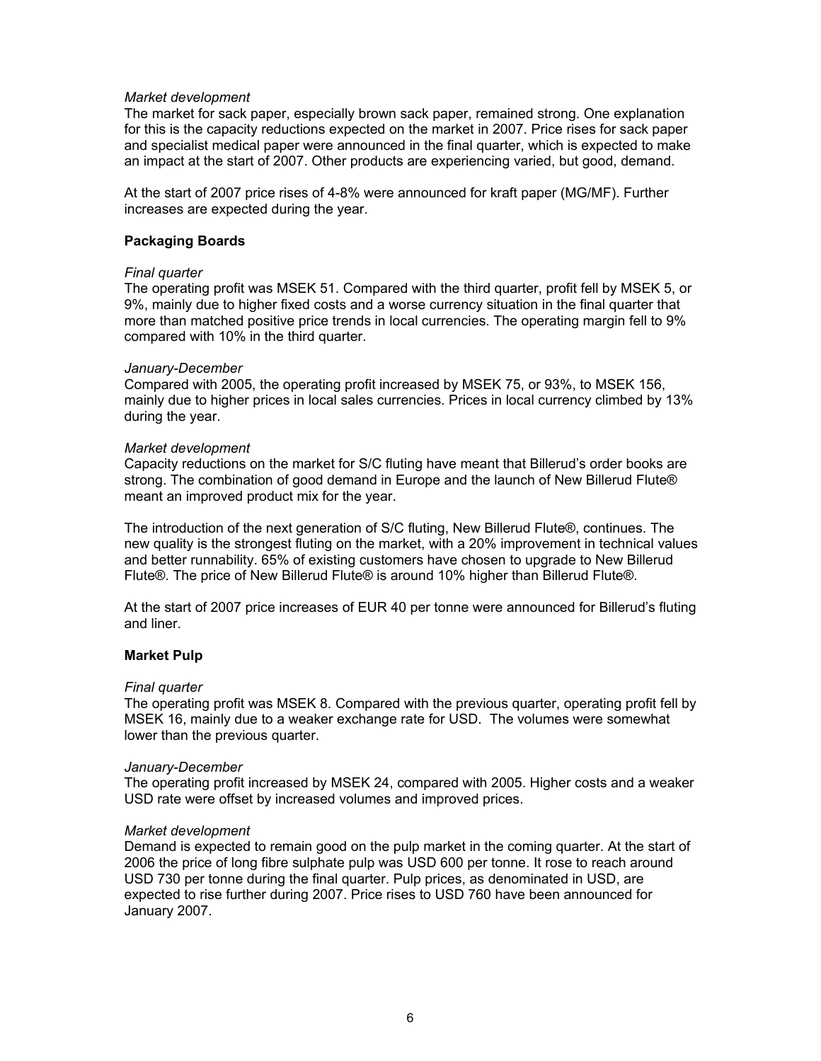#### *Market development*

The market for sack paper, especially brown sack paper, remained strong. One explanation for this is the capacity reductions expected on the market in 2007. Price rises for sack paper and specialist medical paper were announced in the final quarter, which is expected to make an impact at the start of 2007. Other products are experiencing varied, but good, demand.

At the start of 2007 price rises of 4-8% were announced for kraft paper (MG/MF). Further increases are expected during the year.

#### **Packaging Boards**

#### *Final quarter*

The operating profit was MSEK 51. Compared with the third quarter, profit fell by MSEK 5, or 9%, mainly due to higher fixed costs and a worse currency situation in the final quarter that more than matched positive price trends in local currencies. The operating margin fell to 9% compared with 10% in the third quarter.

#### *January-December*

Compared with 2005, the operating profit increased by MSEK 75, or 93%, to MSEK 156, mainly due to higher prices in local sales currencies. Prices in local currency climbed by 13% during the year.

#### *Market development*

Capacity reductions on the market for S/C fluting have meant that Billerud's order books are strong. The combination of good demand in Europe and the launch of New Billerud Flute® meant an improved product mix for the year.

The introduction of the next generation of S/C fluting, New Billerud Flute®, continues. The new quality is the strongest fluting on the market, with a 20% improvement in technical values and better runnability. 65% of existing customers have chosen to upgrade to New Billerud Flute®. The price of New Billerud Flute® is around 10% higher than Billerud Flute®.

At the start of 2007 price increases of EUR 40 per tonne were announced for Billerud's fluting and liner.

#### **Market Pulp**

#### *Final quarter*

The operating profit was MSEK 8. Compared with the previous quarter, operating profit fell by MSEK 16, mainly due to a weaker exchange rate for USD. The volumes were somewhat lower than the previous quarter.

#### *January-December*

The operating profit increased by MSEK 24, compared with 2005. Higher costs and a weaker USD rate were offset by increased volumes and improved prices.

#### *Market development*

Demand is expected to remain good on the pulp market in the coming quarter. At the start of 2006 the price of long fibre sulphate pulp was USD 600 per tonne. It rose to reach around USD 730 per tonne during the final quarter. Pulp prices, as denominated in USD, are expected to rise further during 2007. Price rises to USD 760 have been announced for January 2007.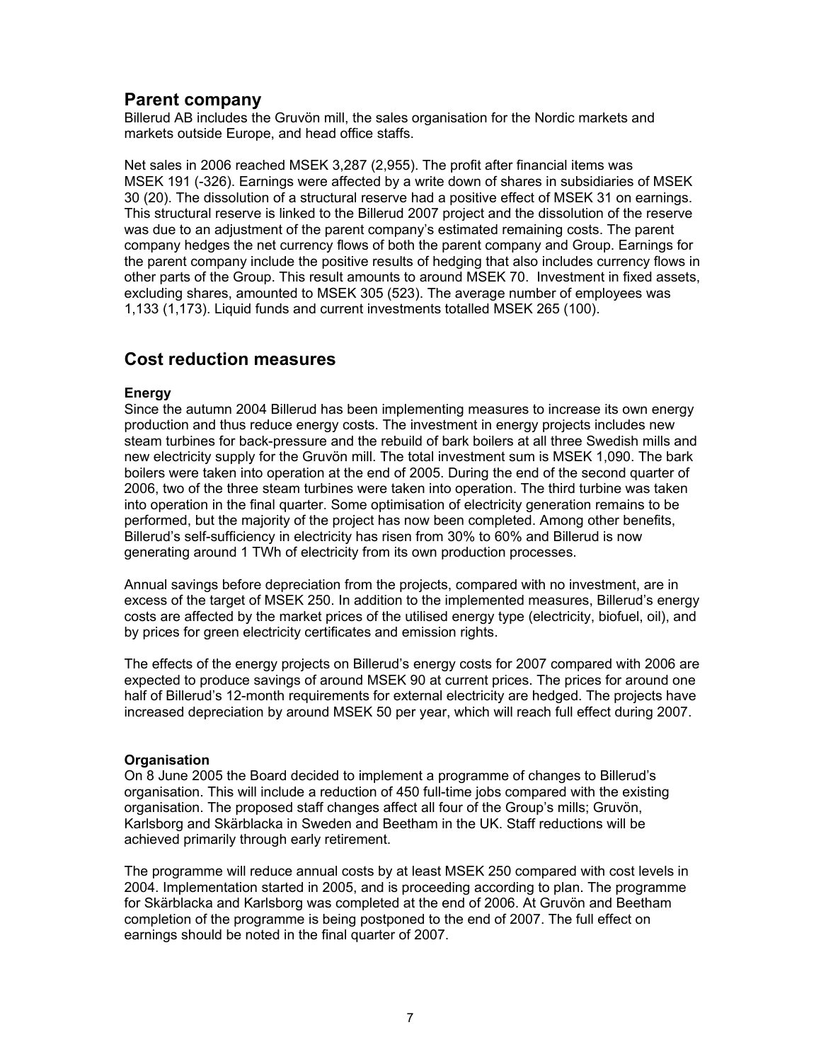### **Parent company**

Billerud AB includes the Gruvön mill, the sales organisation for the Nordic markets and markets outside Europe, and head office staffs.

Net sales in 2006 reached MSEK 3,287 (2,955). The profit after financial items was MSEK 191 (-326). Earnings were affected by a write down of shares in subsidiaries of MSEK 30 (20). The dissolution of a structural reserve had a positive effect of MSEK 31 on earnings. This structural reserve is linked to the Billerud 2007 project and the dissolution of the reserve was due to an adjustment of the parent company's estimated remaining costs. The parent company hedges the net currency flows of both the parent company and Group. Earnings for the parent company include the positive results of hedging that also includes currency flows in other parts of the Group. This result amounts to around MSEK 70. Investment in fixed assets, excluding shares, amounted to MSEK 305 (523). The average number of employees was 1,133 (1,173). Liquid funds and current investments totalled MSEK 265 (100).

### **Cost reduction measures**

### **Energy**

Since the autumn 2004 Billerud has been implementing measures to increase its own energy production and thus reduce energy costs. The investment in energy projects includes new steam turbines for back-pressure and the rebuild of bark boilers at all three Swedish mills and new electricity supply for the Gruvön mill. The total investment sum is MSEK 1,090. The bark boilers were taken into operation at the end of 2005. During the end of the second quarter of 2006, two of the three steam turbines were taken into operation. The third turbine was taken into operation in the final quarter. Some optimisation of electricity generation remains to be performed, but the majority of the project has now been completed. Among other benefits, Billerud's self-sufficiency in electricity has risen from 30% to 60% and Billerud is now generating around 1 TWh of electricity from its own production processes.

Annual savings before depreciation from the projects, compared with no investment, are in excess of the target of MSEK 250. In addition to the implemented measures, Billerud's energy costs are affected by the market prices of the utilised energy type (electricity, biofuel, oil), and by prices for green electricity certificates and emission rights.

The effects of the energy projects on Billerud's energy costs for 2007 compared with 2006 are expected to produce savings of around MSEK 90 at current prices. The prices for around one half of Billerud's 12-month requirements for external electricity are hedged. The projects have increased depreciation by around MSEK 50 per year, which will reach full effect during 2007.

### **Organisation**

On 8 June 2005 the Board decided to implement a programme of changes to Billerud's organisation. This will include a reduction of 450 full-time jobs compared with the existing organisation. The proposed staff changes affect all four of the Group's mills; Gruvön, Karlsborg and Skärblacka in Sweden and Beetham in the UK. Staff reductions will be achieved primarily through early retirement.

The programme will reduce annual costs by at least MSEK 250 compared with cost levels in 2004. Implementation started in 2005, and is proceeding according to plan. The programme for Skärblacka and Karlsborg was completed at the end of 2006. At Gruvön and Beetham completion of the programme is being postponed to the end of 2007. The full effect on earnings should be noted in the final quarter of 2007.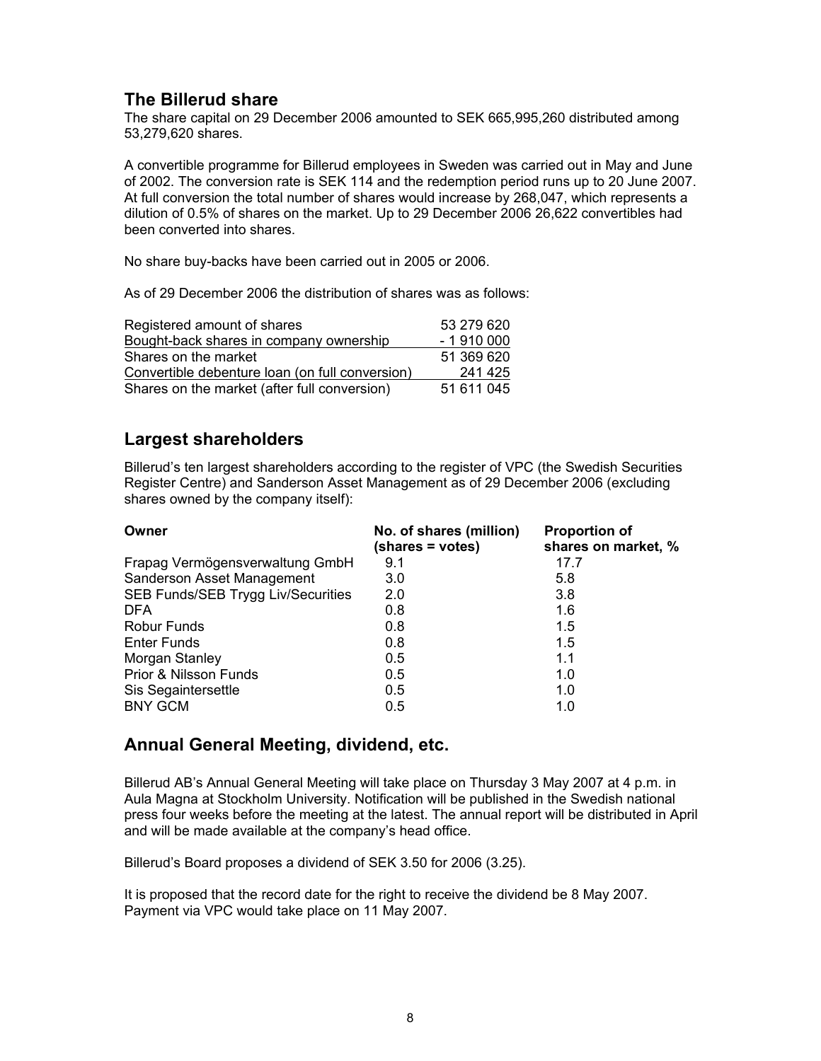### **The Billerud share**

The share capital on 29 December 2006 amounted to SEK 665,995,260 distributed among 53,279,620 shares.

A convertible programme for Billerud employees in Sweden was carried out in May and June of 2002. The conversion rate is SEK 114 and the redemption period runs up to 20 June 2007. At full conversion the total number of shares would increase by 268,047, which represents a dilution of 0.5% of shares on the market. Up to 29 December 2006 26,622 convertibles had been converted into shares.

No share buy-backs have been carried out in 2005 or 2006.

As of 29 December 2006 the distribution of shares was as follows:

| Registered amount of shares                     | 53 279 620 |
|-------------------------------------------------|------------|
| Bought-back shares in company ownership         | $-1910000$ |
| Shares on the market                            | 51 369 620 |
| Convertible debenture loan (on full conversion) | 241 425    |
| Shares on the market (after full conversion)    | 51 611 045 |

### **Largest shareholders**

Billerud's ten largest shareholders according to the register of VPC (the Swedish Securities Register Centre) and Sanderson Asset Management as of 29 December 2006 (excluding shares owned by the company itself):

| Owner                              | No. of shares (million)<br>(shares = votes) | <b>Proportion of</b><br>shares on market, % |
|------------------------------------|---------------------------------------------|---------------------------------------------|
| Frapag Vermögensverwaltung GmbH    | 9.1                                         | 17.7                                        |
| Sanderson Asset Management         | 3.0                                         | 5.8                                         |
| SEB Funds/SEB Trygg Liv/Securities | 2.0                                         | 3.8                                         |
| <b>DFA</b>                         | 0.8                                         | 1.6                                         |
| <b>Robur Funds</b>                 | 0.8                                         | 1.5                                         |
| Enter Funds                        | 0.8                                         | 1.5                                         |
| Morgan Stanley                     | 0.5                                         | 1.1                                         |
| Prior & Nilsson Funds              | 0.5                                         | 1.0                                         |
| Sis Segaintersettle                | 0.5                                         | 1.0                                         |
| <b>BNY GCM</b>                     | 0.5                                         | 1.0                                         |

### **Annual General Meeting, dividend, etc.**

Billerud AB's Annual General Meeting will take place on Thursday 3 May 2007 at 4 p.m. in Aula Magna at Stockholm University. Notification will be published in the Swedish national press four weeks before the meeting at the latest. The annual report will be distributed in April and will be made available at the company's head office.

Billerud's Board proposes a dividend of SEK 3.50 for 2006 (3.25).

It is proposed that the record date for the right to receive the dividend be 8 May 2007. Payment via VPC would take place on 11 May 2007.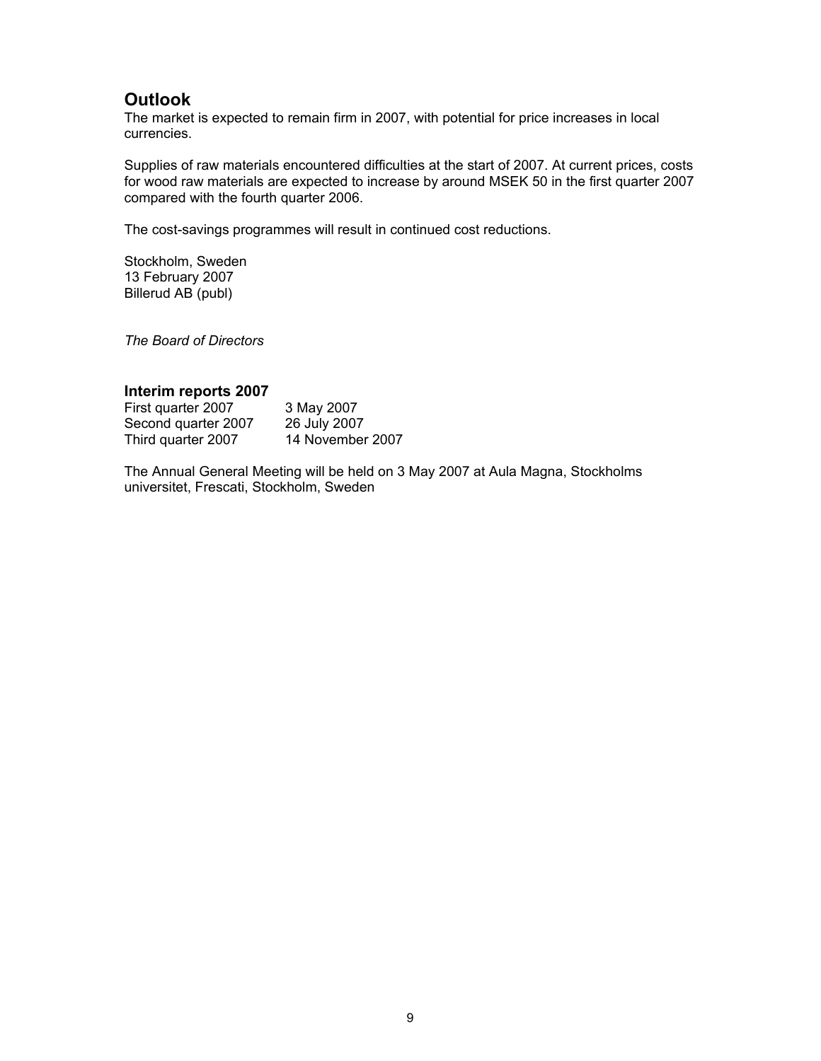### **Outlook**

The market is expected to remain firm in 2007, with potential for price increases in local currencies.

Supplies of raw materials encountered difficulties at the start of 2007. At current prices, costs for wood raw materials are expected to increase by around MSEK 50 in the first quarter 2007 compared with the fourth quarter 2006.

The cost-savings programmes will result in continued cost reductions.

Stockholm, Sweden 13 February 2007 Billerud AB (publ)

*The Board of Directors* 

#### **Interim reports 2007**

| First quarter 2007  | 3 May 2007       |
|---------------------|------------------|
| Second quarter 2007 | 26 July 2007     |
| Third quarter 2007  | 14 November 2007 |

The Annual General Meeting will be held on 3 May 2007 at Aula Magna, Stockholms universitet, Frescati, Stockholm, Sweden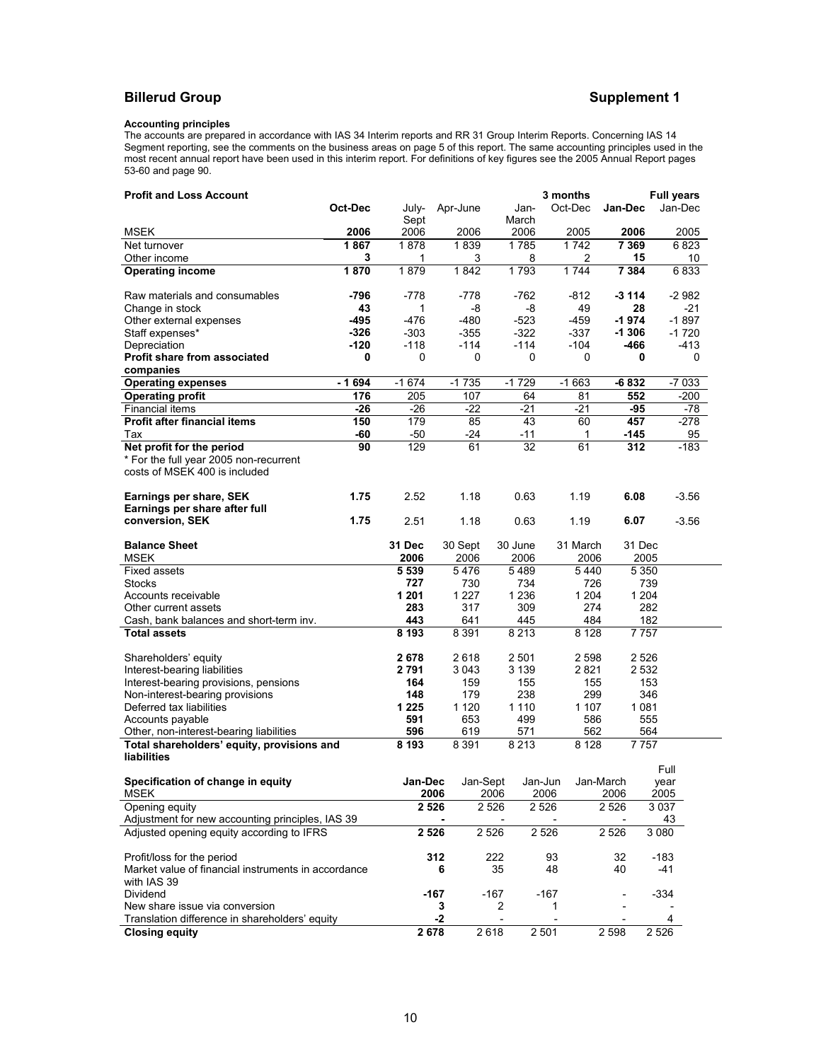### **Billerud Group Supplement 1**

#### **Accounting principles**

The accounts are prepared in accordance with IAS 34 Interim reports and RR 31 Group Interim Reports. Concerning IAS 14 Segment reporting, see the comments on the business areas on page 5 of this report. The same accounting principles used in the most recent annual report have been used in this interim report. For definitions of key figures see the 2005 Annual Report pages 53-60 and page 90.

| <b>Profit and Loss Account</b>                                     |              |              |         |                | 3 months |                |         |                | <b>Full years</b> |            |              |  |
|--------------------------------------------------------------------|--------------|--------------|---------|----------------|----------|----------------|---------|----------------|-------------------|------------|--------------|--|
|                                                                    | Oct-Dec      | July-        |         | Apr-June       |          | Jan-           | Oct-Dec |                | Jan-Dec           |            | Jan-Dec      |  |
|                                                                    |              | Sept         |         |                |          | March          |         |                |                   |            |              |  |
| MSEK                                                               | 2006<br>1867 | 2006<br>1878 |         | 2006<br>1839   |          | 2006<br>1785   |         | 2005<br>1742   | 2006<br>7 3 6 9   |            | 2005<br>6823 |  |
| Net turnover<br>Other income                                       | 3            | 1            |         | 3              |          | 8              |         | 2              |                   | 15         | 10           |  |
| <b>Operating income</b>                                            | 1870         | 1879         |         | 1842           |          | 1793           |         | 1744           | 7 3 8 4           |            | 6833         |  |
|                                                                    |              |              |         |                |          |                |         |                |                   |            |              |  |
| Raw materials and consumables                                      | -796         | $-778$       |         | -778           |          | $-762$         |         | $-812$         | $-3114$           |            | $-2982$      |  |
| Change in stock                                                    | 43           | 1            |         | -8             |          | -8             |         | 49             |                   | 28         | $-21$        |  |
| Other external expenses                                            | -495         | $-476$       |         | $-480$         |          | $-523$         |         | $-459$         | $-1974$           |            | $-1897$      |  |
| Staff expenses*                                                    | $-326$       | $-303$       |         | $-355$         |          | $-322$         |         | $-337$         | $-1306$           |            | $-1720$      |  |
| Depreciation                                                       | $-120$       | $-118$       |         | $-114$         |          | $-114$         |         | $-104$         | -466              |            | $-413$       |  |
| <b>Profit share from associated</b><br>companies                   | 0            | 0            |         | 0              |          | 0              |         | 0              |                   | 0          | 0            |  |
| <b>Operating expenses</b>                                          | - 1694       | $-1674$      |         | $-1735$        |          | $-1729$        |         | $-1663$        | $-6832$           |            | $-7033$      |  |
| <b>Operating profit</b>                                            | 176          | 205          |         | 107            |          | 64             |         | 81             |                   | 552        | $-200$       |  |
| Financial items                                                    | $-26$        | $-26$        |         | $-22$          |          | $-21$          |         | $-21$          |                   | -95        | -78          |  |
| <b>Profit after financial items</b>                                | 150          | 179          |         | 85             |          | 43             |         | 60             | 457               |            | -278         |  |
| Tax                                                                | $-60$        | $-50$        |         | $-24$          |          | $-11$          |         | 1              | $-145$            |            | 95           |  |
| Net profit for the period                                          | 90           | 129          |         | 61             |          | 32             |         | 61             | 312               |            | $-183$       |  |
| * For the full year 2005 non-recurrent                             |              |              |         |                |          |                |         |                |                   |            |              |  |
| costs of MSEK 400 is included                                      |              |              |         |                |          |                |         |                |                   |            |              |  |
|                                                                    |              |              |         |                |          |                |         |                |                   |            |              |  |
| Earnings per share, SEK                                            | 1.75         | 2.52         |         | 1.18           |          | 0.63           |         | 1.19           | 6.08              |            | $-3.56$      |  |
| Earnings per share after full<br>conversion, SEK                   | 1.75         | 2.51         |         | 1.18           |          | 0.63           |         | 1.19           | 6.07              |            | $-3.56$      |  |
|                                                                    |              |              |         |                |          |                |         |                |                   |            |              |  |
| <b>Balance Sheet</b>                                               |              | 31 Dec       |         | 30 Sept        |          | 30 June        |         | 31 March       |                   | 31 Dec     |              |  |
| <b>MSEK</b>                                                        |              | 2006         |         | 2006           |          | 2006           |         | 2006           |                   | 2005       |              |  |
| <b>Fixed assets</b>                                                |              | 5 5 3 9      |         | 5476           |          | 5489           |         | 5440           |                   | 5 3 5 0    |              |  |
| Stocks                                                             |              | 727          |         | 730            |          | 734            |         | 726            |                   | 739        |              |  |
| Accounts receivable                                                |              | 1 2 0 1      |         | 1 2 2 7        |          | 1 2 3 6        |         | 1 2 0 4        |                   | 1 2 0 4    |              |  |
| Other current assets                                               |              | 283<br>443   |         | 317            |          | 309            |         | 274            |                   | 282<br>182 |              |  |
| Cash, bank balances and short-term inv.<br><b>Total assets</b>     |              | 8193         |         | 641<br>8 3 9 1 |          | 445<br>8 2 1 3 |         | 484<br>8 1 2 8 |                   | 7757       |              |  |
|                                                                    |              |              |         |                |          |                |         |                |                   |            |              |  |
| Shareholders' equity                                               |              | 2678         |         | 2618           |          | 2 5 0 1        |         | 2 5 9 8        |                   | 2526       |              |  |
| Interest-bearing liabilities                                       |              | 2791         |         | 3043           |          | 3 1 3 9        |         | 2821           |                   | 2 5 3 2    |              |  |
| Interest-bearing provisions, pensions                              |              | 164          |         | 159            |          | 155            |         | 155            |                   | 153        |              |  |
| Non-interest-bearing provisions                                    |              | 148          |         | 179            |          | 238            |         | 299            |                   | 346        |              |  |
| Deferred tax liabilities                                           |              | 1 2 2 5      |         | 1 1 2 0        |          | 1 1 1 0        |         | 1 1 0 7        |                   | 1 0 8 1    |              |  |
| Accounts payable                                                   |              | 591          |         | 653            |          | 499            |         | 586            |                   | 555        |              |  |
| Other, non-interest-bearing liabilities                            |              | 596          |         | 619            |          | 571            |         | 562            |                   | 564        |              |  |
| Total shareholders' equity, provisions and<br>liabilities          |              | 8 1 9 3      |         | 8 3 9 1        |          | 8 2 1 3        |         | 8 1 2 8        |                   | 7757       |              |  |
|                                                                    |              |              |         |                |          |                |         |                |                   |            | Full         |  |
| Specification of change in equity                                  |              | Jan-Dec      |         | Jan-Sept       |          | Jan-Jun        |         | Jan-March      |                   | year       |              |  |
| <b>MSEK</b>                                                        |              |              | 2006    |                | 2006     |                | 2006    |                | 2006              | 2005       |              |  |
| Opening equity                                                     |              |              | 2 5 2 6 |                | 2 5 2 6  | 2526           |         |                | 2 5 2 6           | 3037       |              |  |
| Adjustment for new accounting principles, IAS 39                   |              |              |         |                |          |                |         |                |                   |            | 43           |  |
| Adjusted opening equity according to IFRS                          |              |              | 2 5 2 6 |                | 2 5 2 6  |                | 2 5 2 6 |                | 2 5 2 6           | 3 0 8 0    |              |  |
|                                                                    |              |              |         |                |          |                |         |                |                   |            |              |  |
| Profit/loss for the period                                         |              |              | 312     |                | 222      |                | 93      |                | 32                | $-183$     |              |  |
| Market value of financial instruments in accordance<br>with IAS 39 |              |              | 6       |                | 35       |                | 48      |                | 40                |            | -41          |  |
| Dividend                                                           |              |              | $-167$  |                | $-167$   |                | $-167$  |                |                   | $-334$     |              |  |
| New share issue via conversion                                     |              |              | 3       |                | 2        |                | 1       |                |                   |            |              |  |
| Translation difference in shareholders' equity                     |              |              | $-2$    |                |          |                |         |                |                   |            | 4            |  |
| <b>Closing equity</b>                                              |              | 2678         |         |                | 2 6 18   | 2 5 0 1        |         |                | 2 5 9 8           | 2 5 2 6    |              |  |
|                                                                    |              |              |         |                |          |                |         |                |                   |            |              |  |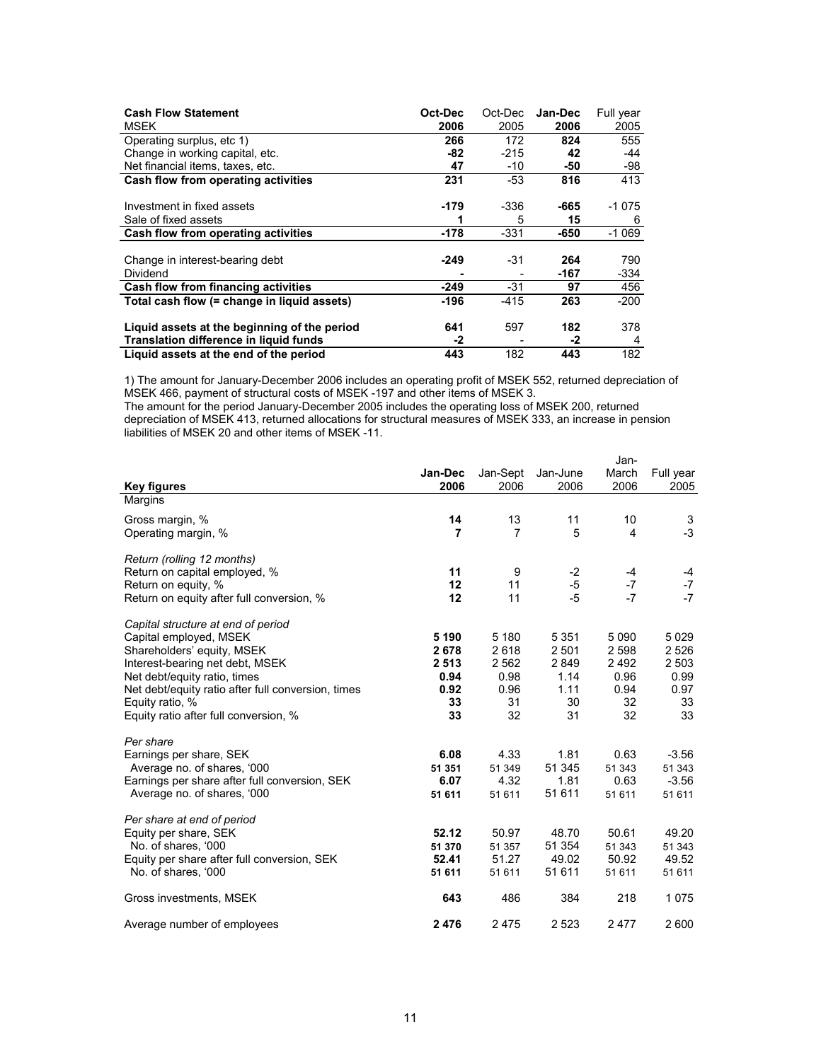| <b>Cash Flow Statement</b>                    | Oct-Dec | Oct-Dec | Jan-Dec | Full year |
|-----------------------------------------------|---------|---------|---------|-----------|
| MSEK                                          | 2006    | 2005    | 2006    | 2005      |
| Operating surplus, etc 1)                     | 266     | 172     | 824     | 555       |
| Change in working capital, etc.               | -82     | $-215$  | 42      | -44       |
| Net financial items, taxes, etc.              | 47      | $-10$   | -50     | -98       |
| Cash flow from operating activities           | 231     | $-53$   | 816     | 413       |
|                                               |         |         |         |           |
| Investment in fixed assets                    | -179    | -336    | -665    | -1 075    |
| Sale of fixed assets                          | 1       | 5       | 15      | 6         |
| Cash flow from operating activities           | -178    | -331    | -650    | $-1069$   |
|                                               |         |         |         |           |
| Change in interest-bearing debt               | $-249$  | -31     | 264     | 790       |
| <b>Dividend</b>                               |         |         | -167    | -334      |
| Cash flow from financing activities           | $-249$  | -31     | 97      | 456       |
| Total cash flow (= change in liquid assets)   | $-196$  | $-415$  | 263     | $-200$    |
|                                               |         |         |         |           |
| Liquid assets at the beginning of the period  | 641     | 597     | 182     | 378       |
| <b>Translation difference in liquid funds</b> | -2      |         | -2      | 4         |
| Liquid assets at the end of the period        | 443     | 182     | 443     | 182       |

1) The amount for January-December 2006 includes an operating profit of MSEK 552, returned depreciation of MSEK 466, payment of structural costs of MSEK -197 and other items of MSEK 3.

The amount for the period January-December 2005 includes the operating loss of MSEK 200, returned depreciation of MSEK 413, returned allocations for structural measures of MSEK 333, an increase in pension liabilities of MSEK 20 and other items of MSEK -11.

| <b>Key figures</b>                                                                                                                                                                                                                                                              | Jan-Dec<br>2006                                     | Jan-Sept<br>2006                                     | Jan-June<br>2006                                       | Jan-<br>March<br>2006                                  | Full year<br>2005                                         |
|---------------------------------------------------------------------------------------------------------------------------------------------------------------------------------------------------------------------------------------------------------------------------------|-----------------------------------------------------|------------------------------------------------------|--------------------------------------------------------|--------------------------------------------------------|-----------------------------------------------------------|
| Margins                                                                                                                                                                                                                                                                         |                                                     |                                                      |                                                        |                                                        |                                                           |
| Gross margin, %<br>Operating margin, %                                                                                                                                                                                                                                          | 14<br>7                                             | 13<br>7                                              | 11<br>5                                                | 10<br>4                                                | 3<br>$-3$                                                 |
| Return (rolling 12 months)<br>Return on capital employed, %<br>Return on equity, %<br>Return on equity after full conversion, %                                                                                                                                                 | 11<br>12<br>12                                      | 9<br>11<br>11                                        | $-2$<br>$-5$<br>$-5$                                   | $-4$<br>$-7$<br>$-7$                                   | -4<br>$-7$<br>$-7$                                        |
| Capital structure at end of period<br>Capital employed, MSEK<br>Shareholders' equity, MSEK<br>Interest-bearing net debt, MSEK<br>Net debt/equity ratio, times<br>Net debt/equity ratio after full conversion, times<br>Equity ratio, %<br>Equity ratio after full conversion, % | 5 1 9 0<br>2678<br>2513<br>0.94<br>0.92<br>33<br>33 | 5 180<br>2618<br>2 5 6 2<br>0.98<br>0.96<br>31<br>32 | 5 3 5 1<br>2 5 0 1<br>2849<br>1.14<br>1.11<br>30<br>31 | 5 0 9 0<br>2 5 9 8<br>2492<br>0.96<br>0.94<br>32<br>32 | 5 0 2 9<br>2 5 2 6<br>2 5 0 3<br>0.99<br>0.97<br>33<br>33 |
| Per share<br>Earnings per share, SEK<br>Average no. of shares, '000<br>Earnings per share after full conversion, SEK<br>Average no. of shares, '000                                                                                                                             | 6.08<br>51 351<br>6.07<br>51 611                    | 4.33<br>51 349<br>4.32<br>51 611                     | 1.81<br>51 345<br>1.81<br>51 611                       | 0.63<br>51 343<br>0.63<br>51 611                       | $-3.56$<br>51 343<br>$-3.56$<br>51 611                    |
| Per share at end of period<br>Equity per share, SEK<br>No. of shares, '000<br>Equity per share after full conversion, SEK<br>No. of shares, '000                                                                                                                                | 52.12<br>51 370<br>52.41<br>51 611                  | 50.97<br>51 357<br>51.27<br>51 611                   | 48.70<br>51 354<br>49.02<br>51 611                     | 50.61<br>51 343<br>50.92<br>51 611                     | 49.20<br>51 343<br>49.52<br>51 611                        |
| Gross investments, MSEK                                                                                                                                                                                                                                                         | 643                                                 | 486                                                  | 384                                                    | 218                                                    | 1075                                                      |
| Average number of employees                                                                                                                                                                                                                                                     | 2476                                                | 2475                                                 | 2 5 2 3                                                | 2477                                                   | 2 600                                                     |